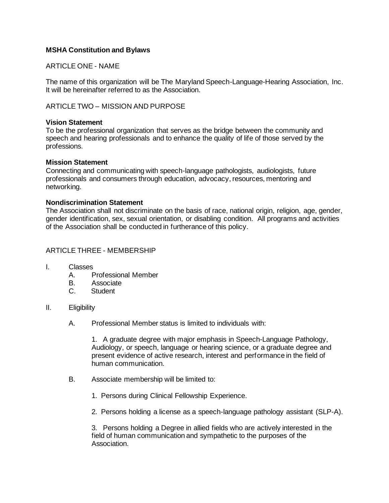## **MSHA Constitution and Bylaws**

## ARTICLE ONE - NAME

The name of this organization will be The Maryland Speech-Language-Hearing Association, Inc. It will be hereinafter referred to as the Association.

## ARTICLE TWO – MISSION AND PURPOSE

#### **Vision Statement**

To be the professional organization that serves as the bridge between the community and speech and hearing professionals and to enhance the quality of life of those served by the professions.

### **Mission Statement**

Connecting and communicating with speech-language pathologists, audiologists, future professionals and consumers through education, advocacy, resources, mentoring and networking.

### **Nondiscrimination Statement**

The Association shall not discriminate on the basis of race, national origin, religion, age, gender, gender identification, sex, sexual orientation, or disabling condition. All programs and activities of the Association shall be conducted in furtherance of this policy.

### ARTICLE THREE - MEMBERSHIP

- I. Classes
	- A. Professional Member
	- B. Associate
	- C. Student
- II. Eligibility
	- A. Professional Member status is limited to individuals with:

1. A graduate degree with major emphasis in Speech-Language Pathology, Audiology, or speech, language or hearing science, or a graduate degree and present evidence of active research, interest and performance in the field of human communication.

- B. Associate membership will be limited to:
	- 1. Persons during Clinical Fellowship Experience.
	- 2. Persons holding a license as a speech-language pathology assistant (SLP-A).

3. Persons holding a Degree in allied fields who are actively interested in the field of human communication and sympathetic to the purposes of the Association.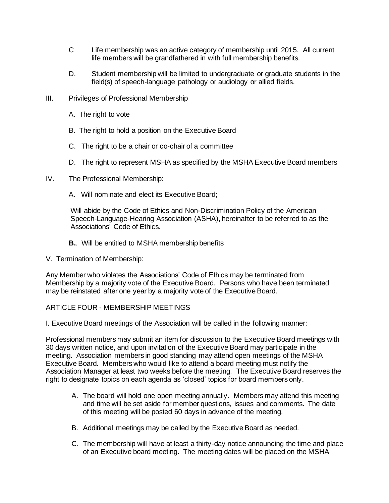- C Life membership was an active category of membership until 2015. All current life members will be grandfathered in with full membership benefits.
- D. Student membership will be limited to undergraduate or graduate students in the field(s) of speech-language pathology or audiology or allied fields.
- III. Privileges of Professional Membership
	- A. The right to vote
	- B. The right to hold a position on the Executive Board
	- C. The right to be a chair or co-chair of a committee
	- D. The right to represent MSHA as specified by the MSHA Executive Board members
- IV. The Professional Membership:
	- A. Will nominate and elect its Executive Board;

Will abide by the Code of Ethics and Non-Discrimination Policy of the American Speech-Language-Hearing Association (ASHA), hereinafter to be referred to as the Associations' Code of Ethics.

- **B.**. Will be entitled to MSHA membership benefits
- V. Termination of Membership:

Any Member who violates the Associations' Code of Ethics may be terminated from Membership by a majority vote of the Executive Board. Persons who have been terminated may be reinstated after one year by a majority vote of the Executive Board.

# ARTICLE FOUR - MEMBERSHIP MEETINGS

I. Executive Board meetings of the Association will be called in the following manner:

Professional members may submit an item for discussion to the Executive Board meetings with 30 days written notice, and upon invitation of the Executive Board may participate in the meeting. Association members in good standing may attend open meetings of the MSHA Executive Board. Members who would like to attend a board meeting must notify the Association Manager at least two weeks before the meeting. The Executive Board reserves the right to designate topics on each agenda as 'closed' topics for board members only.

- A. The board will hold one open meeting annually. Members may attend this meeting and time will be set aside for member questions, issues and comments. The date of this meeting will be posted 60 days in advance of the meeting.
- B. Additional meetings may be called by the Executive Board as needed.
- C. The membership will have at least a thirty-day notice announcing the time and place of an Executive board meeting. The meeting dates will be placed on the MSHA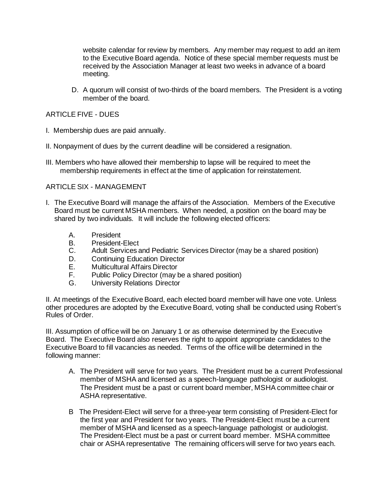website calendar for review by members. Any member may request to add an item to the Executive Board agenda. Notice of these special member requests must be received by the Association Manager at least two weeks in advance of a board meeting.

D. A quorum will consist of two-thirds of the board members. The President is a voting member of the board.

## ARTICLE FIVE - DUES

- I. Membership dues are paid annually.
- II. Nonpayment of dues by the current deadline will be considered a resignation.
- III. Members who have allowed their membership to lapse will be required to meet the membership requirements in effect at the time of application for reinstatement.

## ARTICLE SIX - MANAGEMENT

- I. The Executive Board will manage the affairs of the Association. Members of the Executive Board must be current MSHA members. When needed, a position on the board may be shared by two individuals. It will include the following elected officers:
	- A. President
	- B. President-Elect
	- C. Adult Services and Pediatric Services Director (may be a shared position)
	- D. Continuing Education Director
	- E. Multicultural Affairs Director
	- F. Public Policy Director (may be a shared position)
	- G. University Relations Director

II. At meetings of the Executive Board, each elected board member will have one vote. Unless other procedures are adopted by the Executive Board, voting shall be conducted using Robert's Rules of Order.

III. Assumption of office will be on January 1 or as otherwise determined by the Executive Board. The Executive Board also reserves the right to appoint appropriate candidates to the Executive Board to fill vacancies as needed. Terms of the office will be determined in the following manner:

- A. The President will serve for two years. The President must be a current Professional member of MSHA and licensed as a speech-language pathologist or audiologist. The President must be a past or current board member, MSHA committee chair or ASHA representative.
- B The President-Elect will serve for a three-year term consisting of President-Elect for the first year and President for two years. The President-Elect must be a current member of MSHA and licensed as a speech-language pathologist or audiologist. The President-Elect must be a past or current board member. MSHA committee chair or ASHA representative The remaining officers will serve for two years each.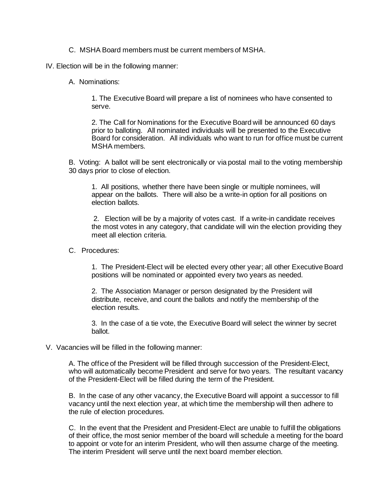C. MSHA Board members must be current members of MSHA.

IV. Election will be in the following manner:

A. Nominations:

1. The Executive Board will prepare a list of nominees who have consented to serve.

2. The Call for Nominations for the Executive Board will be announced 60 days prior to balloting. All nominated individuals will be presented to the Executive Board for consideration. All individuals who want to run for office must be current MSHA members.

B. Voting: A ballot will be sent electronically or via postal mail to the voting membership 30 days prior to close of election.

1. All positions, whether there have been single or multiple nominees, will appear on the ballots. There will also be a write-in option for all positions on election ballots.

2. Election will be by a majority of votes cast. If a write-in candidate receives the most votes in any category, that candidate will win the election providing they meet all election criteria.

C. Procedures:

1. The President-Elect will be elected every other year; all other Executive Board positions will be nominated or appointed every two years as needed.

2. The Association Manager or person designated by the President will distribute, receive, and count the ballots and notify the membership of the election results.

3. In the case of a tie vote, the Executive Board will select the winner by secret ballot.

V. Vacancies will be filled in the following manner:

A. The office of the President will be filled through succession of the President-Elect, who will automatically become President and serve for two years. The resultant vacancy of the President-Elect will be filled during the term of the President.

B. In the case of any other vacancy, the Executive Board will appoint a successor to fill vacancy until the next election year, at which time the membership will then adhere to the rule of election procedures.

C. In the event that the President and President-Elect are unable to fulfill the obligations of their office, the most senior member of the board will schedule a meeting for the board to appoint or vote for an interim President, who will then assume charge of the meeting. The interim President will serve until the next board member election.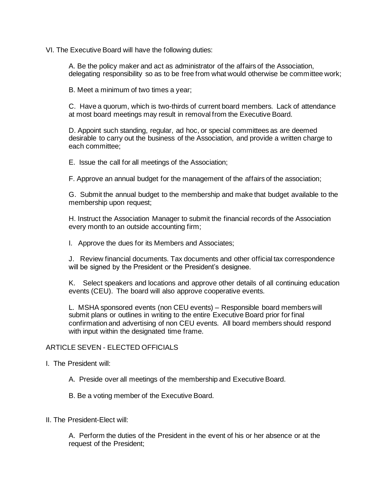VI. The Executive Board will have the following duties:

A. Be the policy maker and act as administrator of the affairs of the Association, delegating responsibility so as to be free from what would otherwise be committee work;

B. Meet a minimum of two times a year;

C. Have a quorum, which is two-thirds of current board members. Lack of attendance at most board meetings may result in removal from the Executive Board.

D. Appoint such standing, regular, ad hoc, or special committees as are deemed desirable to carry out the business of the Association, and provide a written charge to each committee;

E. Issue the call for all meetings of the Association;

F. Approve an annual budget for the management of the affairs of the association;

G. Submit the annual budget to the membership and make that budget available to the membership upon request;

H. Instruct the Association Manager to submit the financial records of the Association every month to an outside accounting firm;

I. Approve the dues for its Members and Associates;

J. Review financial documents. Tax documents and other official tax correspondence will be signed by the President or the President's designee.

K. Select speakers and locations and approve other details of all continuing education events (CEU). The board will also approve cooperative events.

L. MSHA sponsored events (non CEU events) – Responsible board members will submit plans or outlines in writing to the entire Executive Board prior for final confirmation and advertising of non CEU events. All board members should respond with input within the designated time frame.

#### ARTICLE SEVEN - ELECTED OFFICIALS

#### I. The President will:

A. Preside over all meetings of the membership and Executive Board.

B. Be a voting member of the Executive Board.

#### II. The President-Elect will:

A. Perform the duties of the President in the event of his or her absence or at the request of the President;